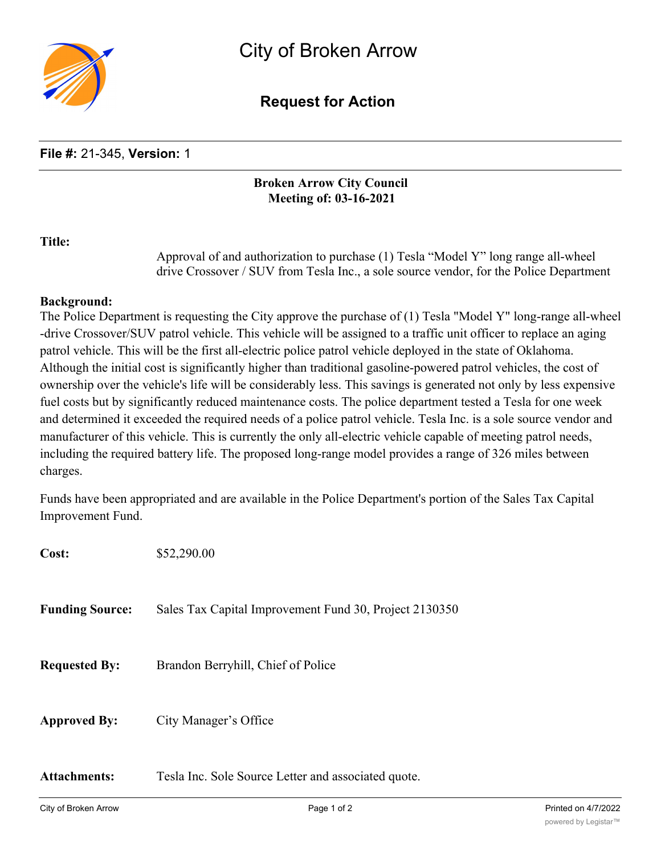

# **Request for Action**

# **File #:** 21-345, **Version:** 1

## **Broken Arrow City Council Meeting of: 03-16-2021**

#### **Title:**

Approval of and authorization to purchase (1) Tesla "Model Y" long range all-wheel drive Crossover / SUV from Tesla Inc., a sole source vendor, for the Police Department

## **Background:**

The Police Department is requesting the City approve the purchase of (1) Tesla "Model Y" long-range all-wheel -drive Crossover/SUV patrol vehicle. This vehicle will be assigned to a traffic unit officer to replace an aging patrol vehicle. This will be the first all-electric police patrol vehicle deployed in the state of Oklahoma. Although the initial cost is significantly higher than traditional gasoline-powered patrol vehicles, the cost of ownership over the vehicle's life will be considerably less. This savings is generated not only by less expensive fuel costs but by significantly reduced maintenance costs. The police department tested a Tesla for one week and determined it exceeded the required needs of a police patrol vehicle. Tesla Inc. is a sole source vendor and manufacturer of this vehicle. This is currently the only all-electric vehicle capable of meeting patrol needs, including the required battery life. The proposed long-range model provides a range of 326 miles between charges.

Funds have been appropriated and are available in the Police Department's portion of the Sales Tax Capital Improvement Fund.

| Cost:                  | \$52,290.00                                            |
|------------------------|--------------------------------------------------------|
| <b>Funding Source:</b> | Sales Tax Capital Improvement Fund 30, Project 2130350 |
| <b>Requested By:</b>   | Brandon Berryhill, Chief of Police                     |
| <b>Approved By:</b>    | City Manager's Office                                  |
| <b>Attachments:</b>    | Tesla Inc. Sole Source Letter and associated quote.    |